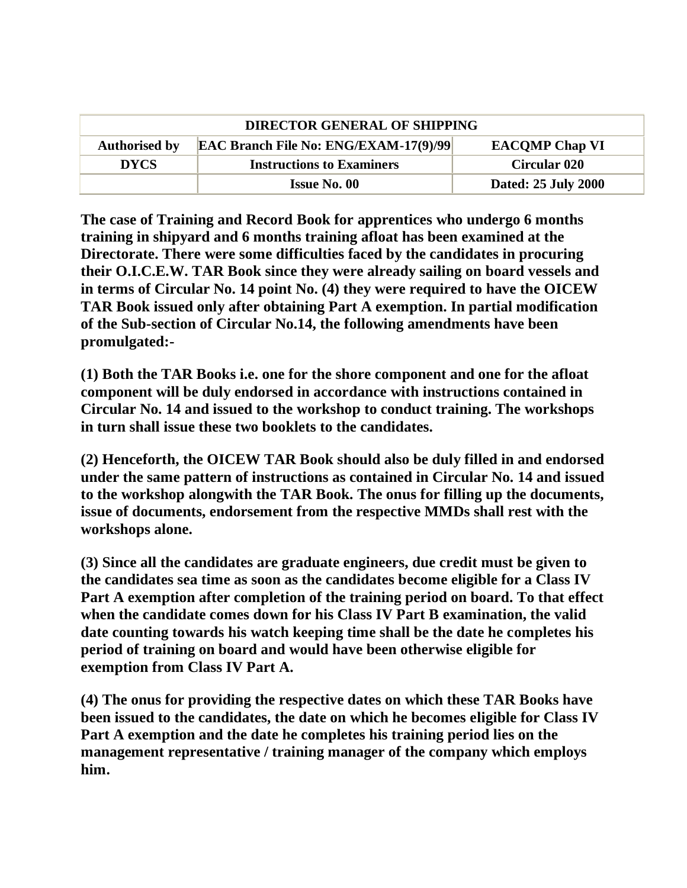| <b>DIRECTOR GENERAL OF SHIPPING</b> |                                              |                       |
|-------------------------------------|----------------------------------------------|-----------------------|
| <b>Authorised by</b>                | <b>EAC Branch File No: ENG/EXAM-17(9)/99</b> | <b>EACOMP Chap VI</b> |
| <b>DYCS</b>                         | <b>Instructions to Examiners</b>             | <b>Circular 020</b>   |
|                                     | <b>Issue No. 00</b>                          | Dated: 25 July 2000   |

**The case of Training and Record Book for apprentices who undergo 6 months training in shipyard and 6 months training afloat has been examined at the Directorate. There were some difficulties faced by the candidates in procuring their O.I.C.E.W. TAR Book since they were already sailing on board vessels and in terms of Circular No. 14 point No. (4) they were required to have the OICEW TAR Book issued only after obtaining Part A exemption. In partial modification of the Sub-section of Circular No.14, the following amendments have been promulgated:-**

**(1) Both the TAR Books i.e. one for the shore component and one for the afloat component will be duly endorsed in accordance with instructions contained in Circular No. 14 and issued to the workshop to conduct training. The workshops in turn shall issue these two booklets to the candidates.** 

**(2) Henceforth, the OICEW TAR Book should also be duly filled in and endorsed under the same pattern of instructions as contained in Circular No. 14 and issued to the workshop alongwith the TAR Book. The onus for filling up the documents, issue of documents, endorsement from the respective MMDs shall rest with the workshops alone.** 

**(3) Since all the candidates are graduate engineers, due credit must be given to the candidates sea time as soon as the candidates become eligible for a Class IV Part A exemption after completion of the training period on board. To that effect when the candidate comes down for his Class IV Part B examination, the valid date counting towards his watch keeping time shall be the date he completes his period of training on board and would have been otherwise eligible for exemption from Class IV Part A.** 

**(4) The onus for providing the respective dates on which these TAR Books have been issued to the candidates, the date on which he becomes eligible for Class IV Part A exemption and the date he completes his training period lies on the management representative / training manager of the company which employs him.**